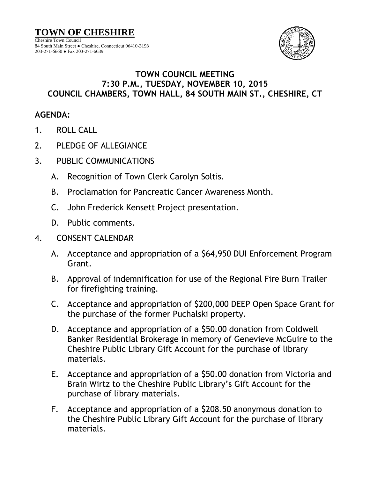

## **TOWN COUNCIL MEETING 7:30 P.M., TUESDAY, NOVEMBER 10, 2015 COUNCIL CHAMBERS, TOWN HALL, 84 SOUTH MAIN ST., CHESHIRE, CT**

## **AGENDA:**

- 1. ROLL CALL
- 2. PLEDGE OF ALLEGIANCE
- 3. PUBLIC COMMUNICATIONS
	- A. Recognition of Town Clerk Carolyn Soltis.
	- B. Proclamation for Pancreatic Cancer Awareness Month.
	- C. John Frederick Kensett Project presentation.
	- D. Public comments.

## 4. CONSENT CALENDAR

- A. Acceptance and appropriation of a \$64,950 DUI Enforcement Program Grant.
- B. Approval of indemnification for use of the Regional Fire Burn Trailer for firefighting training.
- C. Acceptance and appropriation of \$200,000 DEEP Open Space Grant for the purchase of the former Puchalski property.
- D. Acceptance and appropriation of a \$50.00 donation from Coldwell Banker Residential Brokerage in memory of Genevieve McGuire to the Cheshire Public Library Gift Account for the purchase of library materials.
- E. Acceptance and appropriation of a \$50.00 donation from Victoria and Brain Wirtz to the Cheshire Public Library's Gift Account for the purchase of library materials.
- F. Acceptance and appropriation of a \$208.50 anonymous donation to the Cheshire Public Library Gift Account for the purchase of library materials.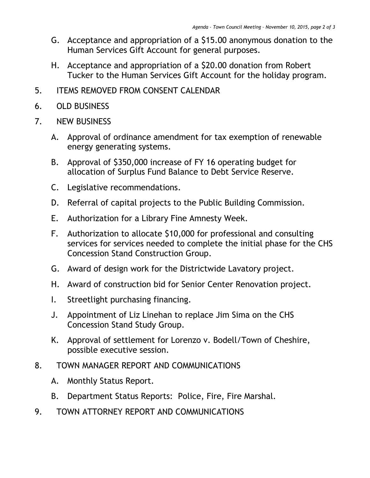- G. Acceptance and appropriation of a \$15.00 anonymous donation to the Human Services Gift Account for general purposes.
- H. Acceptance and appropriation of a \$20.00 donation from Robert Tucker to the Human Services Gift Account for the holiday program.
- 5. ITEMS REMOVED FROM CONSENT CALENDAR
- 6. OLD BUSINESS
- 7. NEW BUSINESS
	- A. Approval of ordinance amendment for tax exemption of renewable energy generating systems.
	- B. Approval of \$350,000 increase of FY 16 operating budget for allocation of Surplus Fund Balance to Debt Service Reserve.
	- C. Legislative recommendations.
	- D. Referral of capital projects to the Public Building Commission.
	- E. Authorization for a Library Fine Amnesty Week.
	- F. Authorization to allocate \$10,000 for professional and consulting services for services needed to complete the initial phase for the CHS Concession Stand Construction Group.
	- G. Award of design work for the Districtwide Lavatory project.
	- H. Award of construction bid for Senior Center Renovation project.
	- I. Streetlight purchasing financing.
	- J. Appointment of Liz Linehan to replace Jim Sima on the CHS Concession Stand Study Group.
	- K. Approval of settlement for Lorenzo v. Bodell/Town of Cheshire, possible executive session.
- 8. TOWN MANAGER REPORT AND COMMUNICATIONS
	- A. Monthly Status Report.
	- B. Department Status Reports: Police, Fire, Fire Marshal.
- 9. TOWN ATTORNEY REPORT AND COMMUNICATIONS